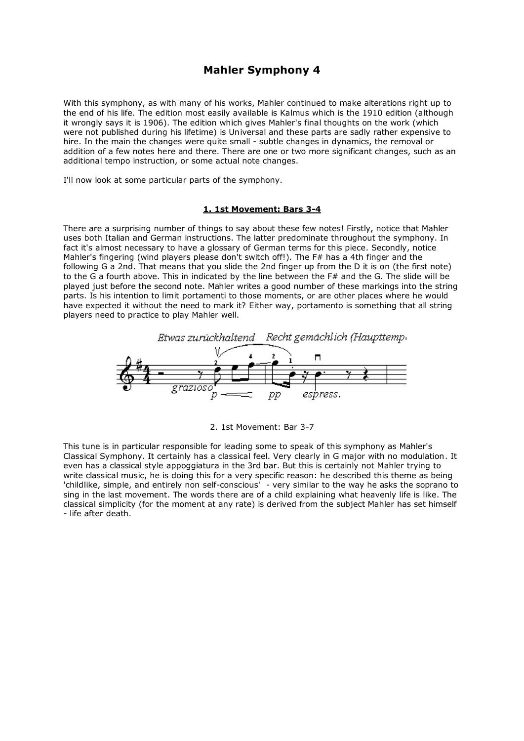# **Mahler Symphony 4**

With this symphony, as with many of his works, Mahler continued to make alterations right up to the end of his life. The edition most easily available is Kalmus which is the 1910 edition (although it wrongly says it is 1906). The edition which gives Mahler's final thoughts on the work (which were not published during his lifetime) is Universal and these parts are sadly rather expensive to hire. In the main the changes were quite small - subtle changes in dynamics, the removal or addition of a few notes here and there. There are one or two more significant changes, such as an additional tempo instruction, or some actual note changes.

I'll now look at some particular parts of the symphony.

#### **1. 1st Movement: Bars 3-4**

There are a surprising number of things to say about these few notes! Firstly, notice that Mahler uses both Italian and German instructions. The latter predominate throughout the symphony. In fact it's almost necessary to have a glossary of German terms for this piece. Secondly, notice Mahler's fingering (wind players please don't switch off!). The F# has a 4th finger and the following G a 2nd. That means that you slide the 2nd finger up from the D it is on (the first note) to the G a fourth above. This in indicated by the line between the F# and the G. The slide will be played just before the second note. Mahler writes a good number of these markings into the string parts. Is his intention to limit portamenti to those moments, or are other places where he would have expected it without the need to mark it? Either way, portamento is something that all string players need to practice to play Mahler well.



2. 1st Movement: Bar 3-7

This tune is in particular responsible for leading some to speak of this symphony as Mahler's Classical Symphony. It certainly has a classical feel. Very clearly in G major with no modulation. It even has a classical style appoggiatura in the 3rd bar. But this is certainly not Mahler trying to write classical music, he is doing this for a very specific reason: he described this theme as being 'childlike, simple, and entirely non self-conscious' - very similar to the way he asks the soprano to sing in the last movement. The words there are of a child explaining what heavenly life is like. The classical simplicity (for the moment at any rate) is derived from the subject Mahler has set himself - life after death.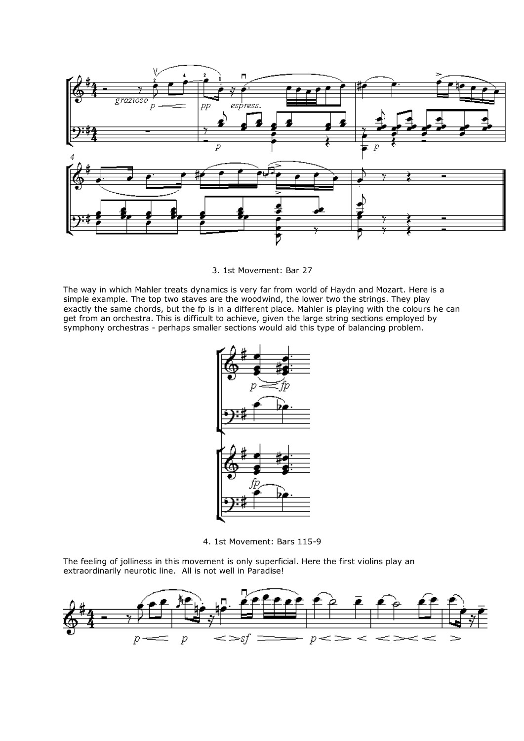

3. 1st Movement: Bar 27

The way in which Mahler treats dynamics is very far from world of Haydn and Mozart. Here is a simple example. The top two staves are the woodwind, the lower two the strings. They play exactly the same chords, but the fp is in a different place. Mahler is playing with the colours he can get from an orchestra. This is difficult to achieve, given the large string sections employed by symphony orchestras - perhaps smaller sections would aid this type of balancing problem.



4. 1st Movement: Bars 115-9

The feeling of jolliness in this movement is only superficial. Here the first violins play an extraordinarily neurotic line. All is not well in Paradise!

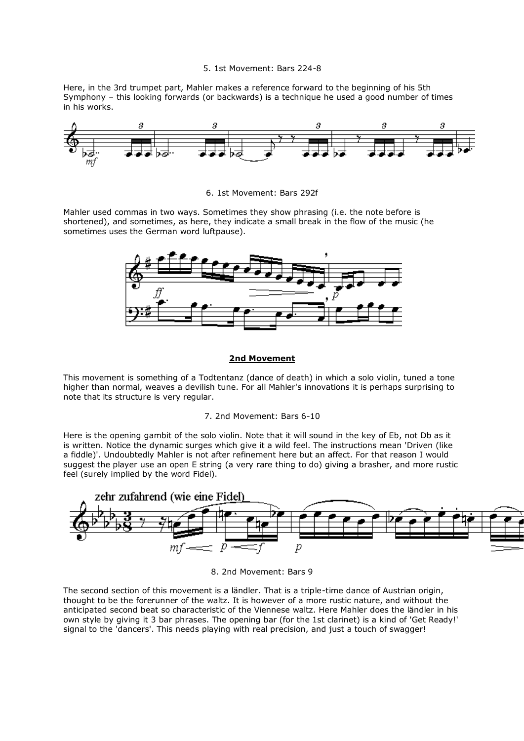## 5. 1st Movement: Bars 224-8

Here, in the 3rd trumpet part, Mahler makes a reference forward to the beginning of his 5th Symphony – this looking forwards (or backwards) is a technique he used a good number of times in his works.



6. 1st Movement: Bars 292f

Mahler used commas in two ways. Sometimes they show phrasing (i.e. the note before is shortened), and sometimes, as here, they indicate a small break in the flow of the music (he sometimes uses the German word luftpause).



# **2nd Movement**

This movement is something of a Todtentanz (dance of death) in which a solo violin, tuned a tone higher than normal, weaves a devilish tune. For all Mahler's innovations it is perhaps surprising to note that its structure is very regular.

## 7. 2nd Movement: Bars 6-10

Here is the opening gambit of the solo violin. Note that it will sound in the key of Eb, not Db as it is written. Notice the dynamic surges which give it a wild feel. The instructions mean 'Driven (like a fiddle)'. Undoubtedly Mahler is not after refinement here but an affect. For that reason I would suggest the player use an open E string (a very rare thing to do) giving a brasher, and more rustic feel (surely implied by the word Fidel).



8. 2nd Movement: Bars 9

The second section of this movement is a ländler. That is a triple-time dance of Austrian origin, thought to be the forerunner of the waltz. It is however of a more rustic nature, and without the anticipated second beat so characteristic of the Viennese waltz. Here Mahler does the ländler in his own style by giving it 3 bar phrases. The opening bar (for the 1st clarinet) is a kind of 'Get Ready!' signal to the 'dancers'. This needs playing with real precision, and just a touch of swagger!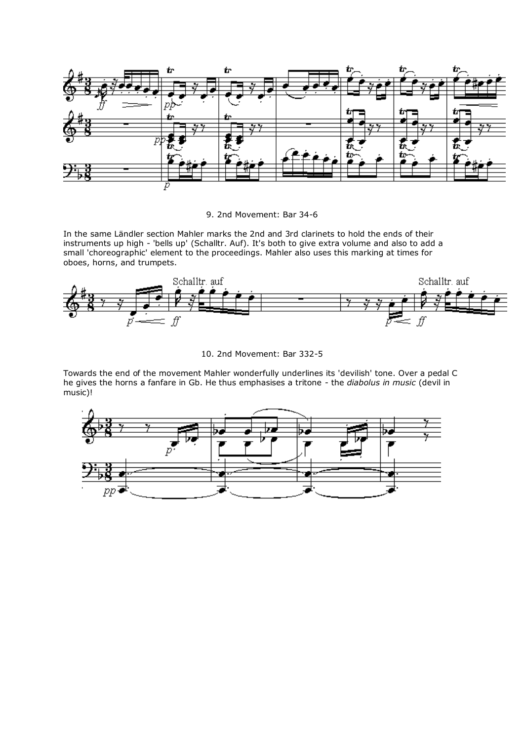

9. 2nd Movement: Bar 34-6

In the same Ländler section Mahler marks the 2nd and 3rd clarinets to hold the ends of their instruments up high - 'bells up' (Schalltr. Auf). It's both to give extra volume and also to add a small 'choreographic' element to the proceedings. Mahler also uses this marking at times for oboes, horns, and trumpets.



10. 2nd Movement: Bar 332-5

Towards the end of the movement Mahler wonderfully underlines its 'devilish' tone. Over a pedal C he gives the horns a fanfare in Gb. He thus emphasises a tritone - the *diabolus in music* (devil in music)!

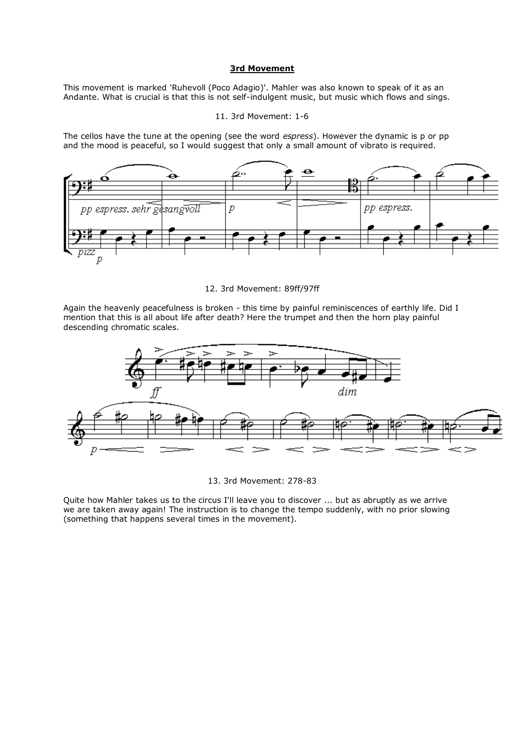## **3rd Movement**

This movement is marked 'Ruhevoll (Poco Adagio)'. Mahler was also known to speak of it as an Andante. What is crucial is that this is not self-indulgent music, but music which flows and sings.

#### 11. 3rd Movement: 1-6

The cellos have the tune at the opening (see the word *espress*). However the dynamic is p or pp and the mood is peaceful, so I would suggest that only a small amount of vibrato is required.



#### 12. 3rd Movement: 89ff/97ff

Again the heavenly peacefulness is broken - this time by painful reminiscences of earthly life. Did I mention that this is all about life after death? Here the trumpet and then the horn play painful descending chromatic scales.



13. 3rd Movement: 278-83

Quite how Mahler takes us to the circus I'll leave you to discover ... but as abruptly as we arrive we are taken away again! The instruction is to change the tempo suddenly, with no prior slowing (something that happens several times in the movement).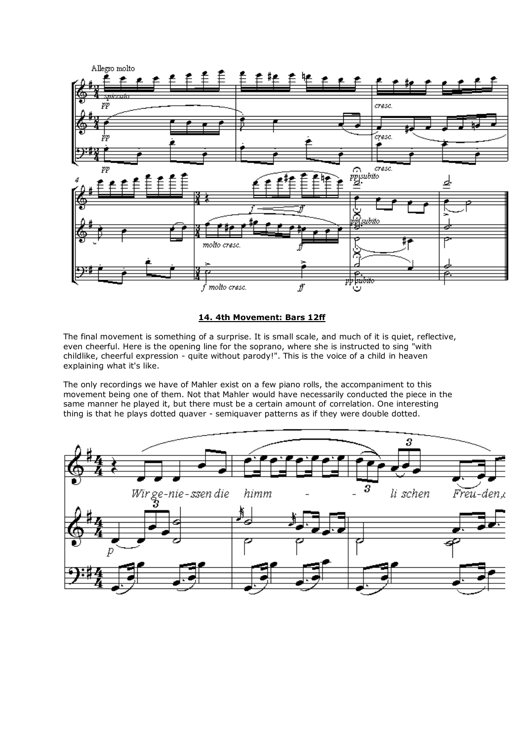

# **14. 4th Movement: Bars 12ff**

The final movement is something of a surprise. It is small scale, and much of it is quiet, reflective, even cheerful. Here is the opening line for the soprano, where she is instructed to sing "with childlike, cheerful expression - quite without parody!". This is the voice of a child in heaven explaining what it's like.

The only recordings we have of Mahler exist on a few piano rolls, the accompaniment to this movement being one of them. Not that Mahler would have necessarily conducted the piece in the same manner he played it, but there must be a certain amount of correlation. One interesting thing is that he plays dotted quaver - semiquaver patterns as if they were double dotted.